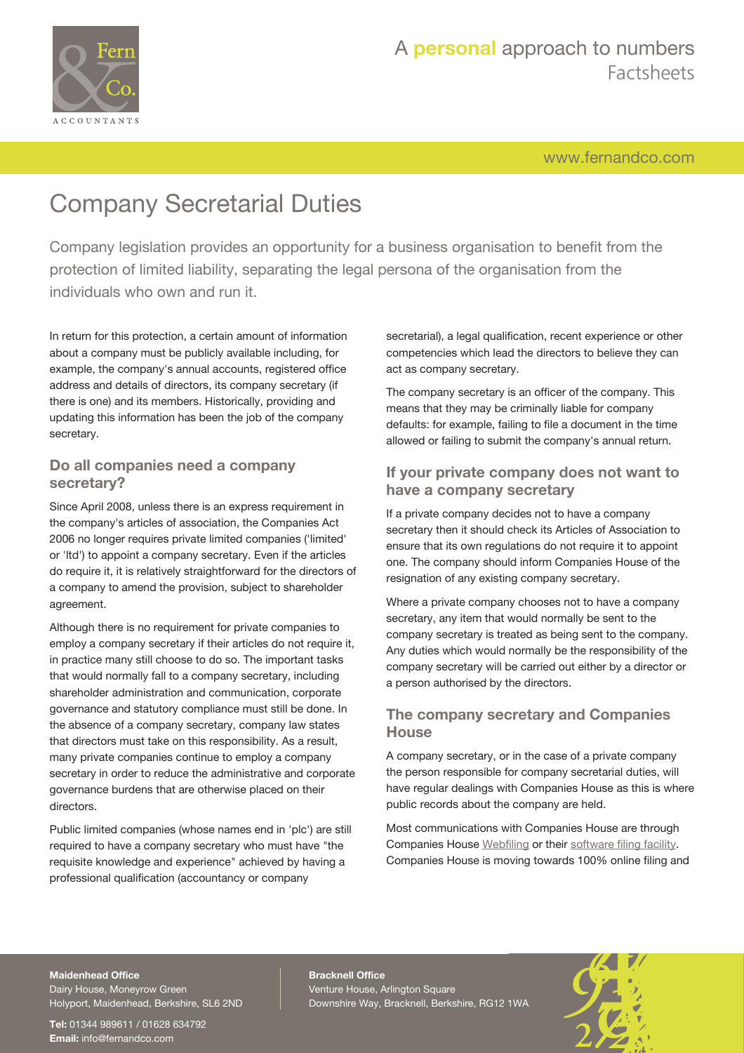

[www.fernandco.com](http://www.fernandco.com)

# Company Secretarial Duties

Company legislation provides an opportunity for a business organisation to benefit from the protection of limited liability, separating the legal persona of the organisation from the individuals who own and run it.

In return for this protection, a certain amount of information about a company must be publicly available including, for example, the company's annual accounts, registered office address and details of directors, its company secretary (if there is one) and its members. Historically, providing and updating this information has been the job of the company secretary.

### **Do all companies need a company secretary?**

Since April 2008, unless there is an express requirement in the company's articles of association, the Companies Act 2006 no longer requires private limited companies ('limited' or 'ltd') to appoint a company secretary. Even if the articles do require it, it is relatively straightforward for the directors of a company to amend the provision, subject to shareholder agreement.

Although there is no requirement for private companies to employ a company secretary if their articles do not require it, in practice many still choose to do so. The important tasks that would normally fall to a company secretary, including shareholder administration and communication, corporate governance and statutory compliance must still be done. In the absence of a company secretary, company law states that directors must take on this responsibility. As a result, many private companies continue to employ a company secretary in order to reduce the administrative and corporate governance burdens that are otherwise placed on their directors.

Public limited companies (whose names end in 'plc') are still required to have a company secretary who must have "the requisite knowledge and experience" achieved by having a professional qualification (accountancy or company

secretarial), a legal qualification, recent experience or other competencies which lead the directors to believe they can act as company secretary.

The company secretary is an officer of the company. This means that they may be criminally liable for company defaults: for example, failing to file a document in the time allowed or failing to submit the company's annual return.

## **If your private company does not want to have a company secretary**

If a private company decides not to have a company secretary then it should check its Articles of Association to ensure that its own regulations do not require it to appoint one. The company should inform Companies House of the resignation of any existing company secretary.

Where a private company chooses not to have a company secretary, any item that would normally be sent to the company secretary is treated as being sent to the company. Any duties which would normally be the responsibility of the company secretary will be carried out either by a director or a person authorised by the directors.

### **The company secretary and Companies House**

A company secretary, or in the case of a private company the person responsible for company secretarial duties, will have regular dealings with Companies House as this is where public records about the company are held.

Most communications with Companies House are through Companies House [Webfiling](https://ewf.companieshouse.gov.uk//seclogin?tc=1) or their [software filing facility.](http://resources.companieshouse.gov.uk/toolsToHelp/efilingfaq.shtml) Companies House is moving towards 100% online filing and

#### **Maidenhead Office**

Dairy House, Moneyrow Green Holyport, Maidenhead, Berkshire, SL6 2ND

**Tel:** 01344 989611 / 01628 634792 **Email:** [info@fernandco.com](mailto:info@fernandco.com)

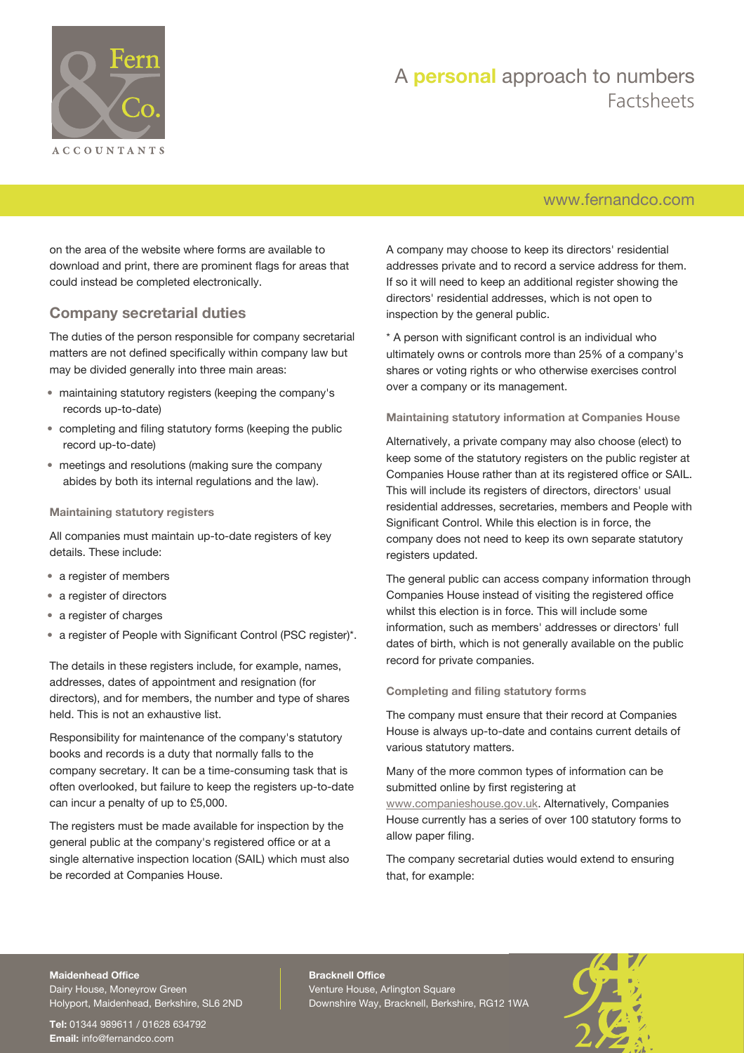

## [www.fernandco.com](http://www.fernandco.com)

on the area of the website where forms are available to download and print, there are prominent flags for areas that could instead be completed electronically.

### **Company secretarial duties**

The duties of the person responsible for company secretarial matters are not defined specifically within company law but may be divided generally into three main areas:

- maintaining statutory registers (keeping the company's records up-to-date)
- completing and filing statutory forms (keeping the public record up-to-date)
- meetings and resolutions (making sure the company abides by both its internal regulations and the law).

#### **Maintaining statutory registers**

All companies must maintain up-to-date registers of key details. These include:

- a register of members
- a register of directors
- a register of charges
- a register of People with Significant Control (PSC register)\*.

The details in these registers include, for example, names, addresses, dates of appointment and resignation (for directors), and for members, the number and type of shares held. This is not an exhaustive list.

Responsibility for maintenance of the company's statutory books and records is a duty that normally falls to the company secretary. It can be a time-consuming task that is often overlooked, but failure to keep the registers up-to-date can incur a penalty of up to £5,000.

The registers must be made available for inspection by the general public at the company's registered office or at a single alternative inspection location (SAIL) which must also be recorded at Companies House.

A company may choose to keep its directors' residential addresses private and to record a service address for them. If so it will need to keep an additional register showing the directors' residential addresses, which is not open to inspection by the general public.

\* A person with significant control is an individual who ultimately owns or controls more than 25% of a company's shares or voting rights or who otherwise exercises control over a company or its management.

#### **Maintaining statutory information at Companies House**

Alternatively, a private company may also choose (elect) to keep some of the statutory registers on the public register at Companies House rather than at its registered office or SAIL. This will include its registers of directors, directors' usual residential addresses, secretaries, members and People with Significant Control. While this election is in force, the company does not need to keep its own separate statutory registers updated.

The general public can access company information through Companies House instead of visiting the registered office whilst this election is in force. This will include some information, such as members' addresses or directors' full dates of birth, which is not generally available on the public record for private companies.

#### **Completing and filing statutory forms**

The company must ensure that their record at Companies House is always up-to-date and contains current details of various statutory matters.

Many of the more common types of information can be submitted online by first registering at

[www.companieshouse.gov.uk](http://www.companieshouse.gov.uk/). Alternatively, Companies House currently has a series of over 100 statutory forms to allow paper filing.

The company secretarial duties would extend to ensuring that, for example:

#### **Maidenhead Office**

Dairy House, Moneyrow Green Holyport, Maidenhead, Berkshire, SL6 2ND

**Tel:** 01344 989611 / 01628 634792 **Email:** [info@fernandco.com](mailto:info@fernandco.com)

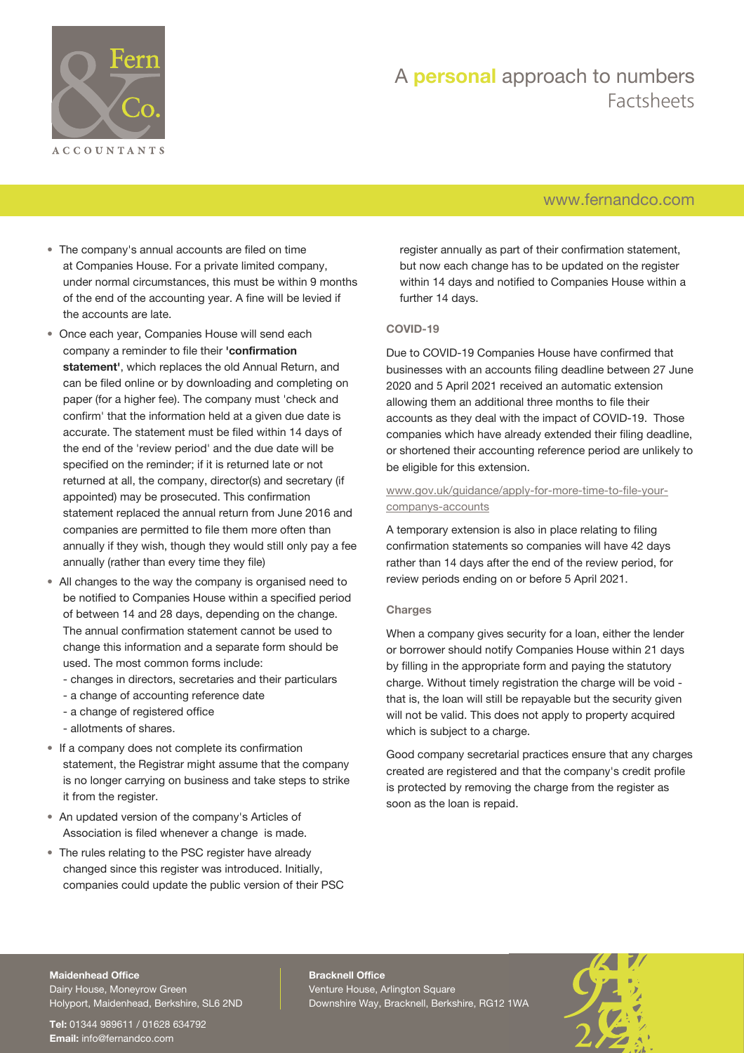

## [www.fernandco.com](http://www.fernandco.com)

- The company's annual accounts are filed on time at Companies House. For a private limited company, under normal circumstances, this must be within 9 months of the end of the accounting year. A fine will be levied if the accounts are late.
- Once each year, Companies House will send each company a reminder to file their **'confirmation statement'**, which replaces the old Annual Return, and can be filed online or by downloading and completing on paper (for a higher fee). The company must 'check and confirm' that the information held at a given due date is accurate. The statement must be filed within 14 days of the end of the 'review period' and the due date will be specified on the reminder; if it is returned late or not returned at all, the company, director(s) and secretary (if appointed) may be prosecuted. This confirmation statement replaced the annual return from June 2016 and companies are permitted to file them more often than annually if they wish, though they would still only pay a fee annually (rather than every time they file)
- All changes to the way the company is organised need to be notified to Companies House within a specified period of between 14 and 28 days, depending on the change. The annual confirmation statement cannot be used to change this information and a separate form should be used. The most common forms include:
	- changes in directors, secretaries and their particulars
	- a change of accounting reference date
	- a change of registered office
	- allotments of shares.
- If a company does not complete its confirmation statement, the Registrar might assume that the company is no longer carrying on business and take steps to strike it from the register.
- An updated version of the company's Articles of Association is filed whenever a change is made.
- The rules relating to the PSC register have already changed since this register was introduced. Initially, companies could update the public version of their PSC

register annually as part of their confirmation statement, but now each change has to be updated on the register within 14 days and notified to Companies House within a further 14 days.

#### **COVID-19**

Due to COVID-19 Companies House have confirmed that businesses with an accounts filing deadline between 27 June 2020 and 5 April 2021 received an automatic extension allowing them an additional three months to file their accounts as they deal with the impact of COVID-19. Those companies which have already extended their filing deadline, or shortened their accounting reference period are unlikely to be eligible for this extension.

#### [www.gov.uk/guidance/apply-for-more-time-to-file-your](https://www.gov.uk/guidance/apply-for-more-time-to-file-your-companys-accounts)[companys-accounts](https://www.gov.uk/guidance/apply-for-more-time-to-file-your-companys-accounts)

A temporary extension is also in place relating to filing confirmation statements so companies will have 42 days rather than 14 days after the end of the review period, for review periods ending on or before 5 April 2021.

#### **Charges**

When a company gives security for a loan, either the lender or borrower should notify Companies House within 21 days by filling in the appropriate form and paying the statutory charge. Without timely registration the charge will be void that is, the loan will still be repayable but the security given will not be valid. This does not apply to property acquired which is subject to a charge.

Good company secretarial practices ensure that any charges created are registered and that the company's credit profile is protected by removing the charge from the register as soon as the loan is repaid.

#### **Maidenhead Office**

Dairy House, Moneyrow Green Holyport, Maidenhead, Berkshire, SL6 2ND

**Tel:** 01344 989611 / 01628 634792 **Email:** [info@fernandco.com](mailto:info@fernandco.com)

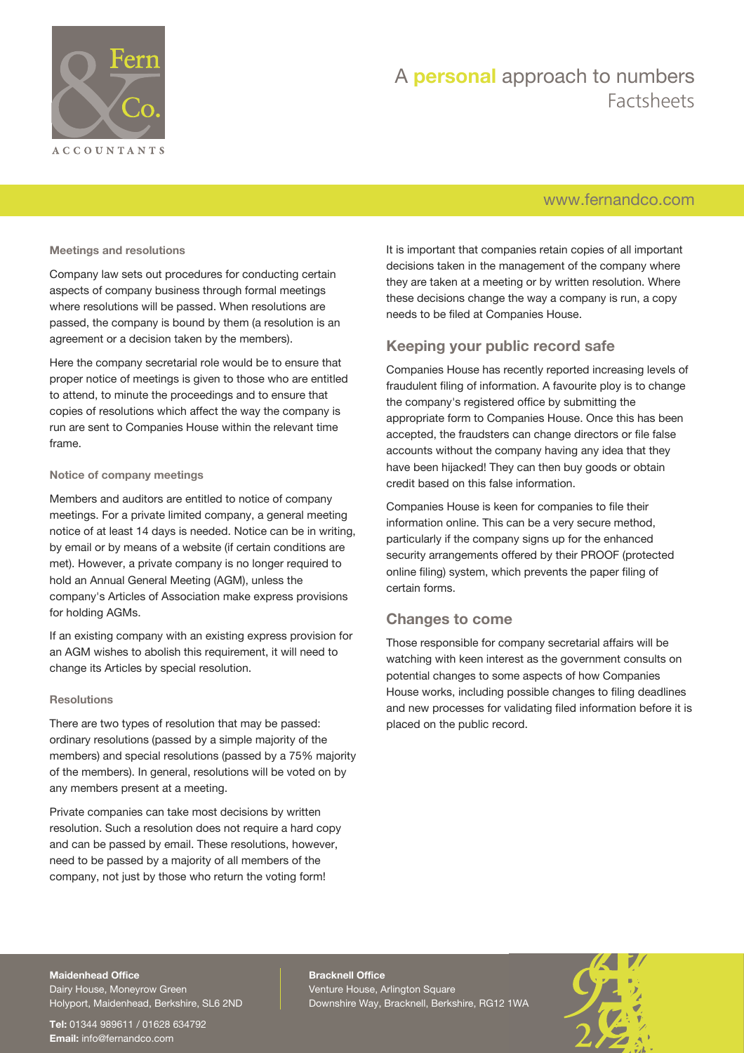

## [www.fernandco.com](http://www.fernandco.com)

**Meetings and resolutions**

Company law sets out procedures for conducting certain aspects of company business through formal meetings where resolutions will be passed. When resolutions are passed, the company is bound by them (a resolution is an agreement or a decision taken by the members).

Here the company secretarial role would be to ensure that proper notice of meetings is given to those who are entitled to attend, to minute the proceedings and to ensure that copies of resolutions which affect the way the company is run are sent to Companies House within the relevant time frame.

#### **Notice of company meetings**

Members and auditors are entitled to notice of company meetings. For a private limited company, a general meeting notice of at least 14 days is needed. Notice can be in writing, by email or by means of a website (if certain conditions are met). However, a private company is no longer required to hold an Annual General Meeting (AGM), unless the company's Articles of Association make express provisions for holding AGMs.

If an existing company with an existing express provision for an AGM wishes to abolish this requirement, it will need to change its Articles by special resolution.

#### **Resolutions**

There are two types of resolution that may be passed: ordinary resolutions (passed by a simple majority of the members) and special resolutions (passed by a 75% majority of the members). In general, resolutions will be voted on by any members present at a meeting.

Private companies can take most decisions by written resolution. Such a resolution does not require a hard copy and can be passed by email. These resolutions, however, need to be passed by a majority of all members of the company, not just by those who return the voting form!

It is important that companies retain copies of all important decisions taken in the management of the company where they are taken at a meeting or by written resolution. Where these decisions change the way a company is run, a copy needs to be filed at Companies House.

## **Keeping your public record safe**

Companies House has recently reported increasing levels of fraudulent filing of information. A favourite ploy is to change the company's registered office by submitting the appropriate form to Companies House. Once this has been accepted, the fraudsters can change directors or file false accounts without the company having any idea that they have been hijacked! They can then buy goods or obtain credit based on this false information.

Companies House is keen for companies to file their information online. This can be a very secure method, particularly if the company signs up for the enhanced security arrangements offered by their PROOF (protected online filing) system, which prevents the paper filing of certain forms.

### **Changes to come**

Those responsible for company secretarial affairs will be watching with keen interest as the government consults on potential changes to some aspects of how Companies House works, including possible changes to filing deadlines and new processes for validating filed information before it is placed on the public record.

#### **Maidenhead Office** Dairy House, Moneyrow Green Holyport, Maidenhead, Berkshire, SL6 2ND

**Tel:** 01344 989611 / 01628 634792 **Email:** [info@fernandco.com](mailto:info@fernandco.com)